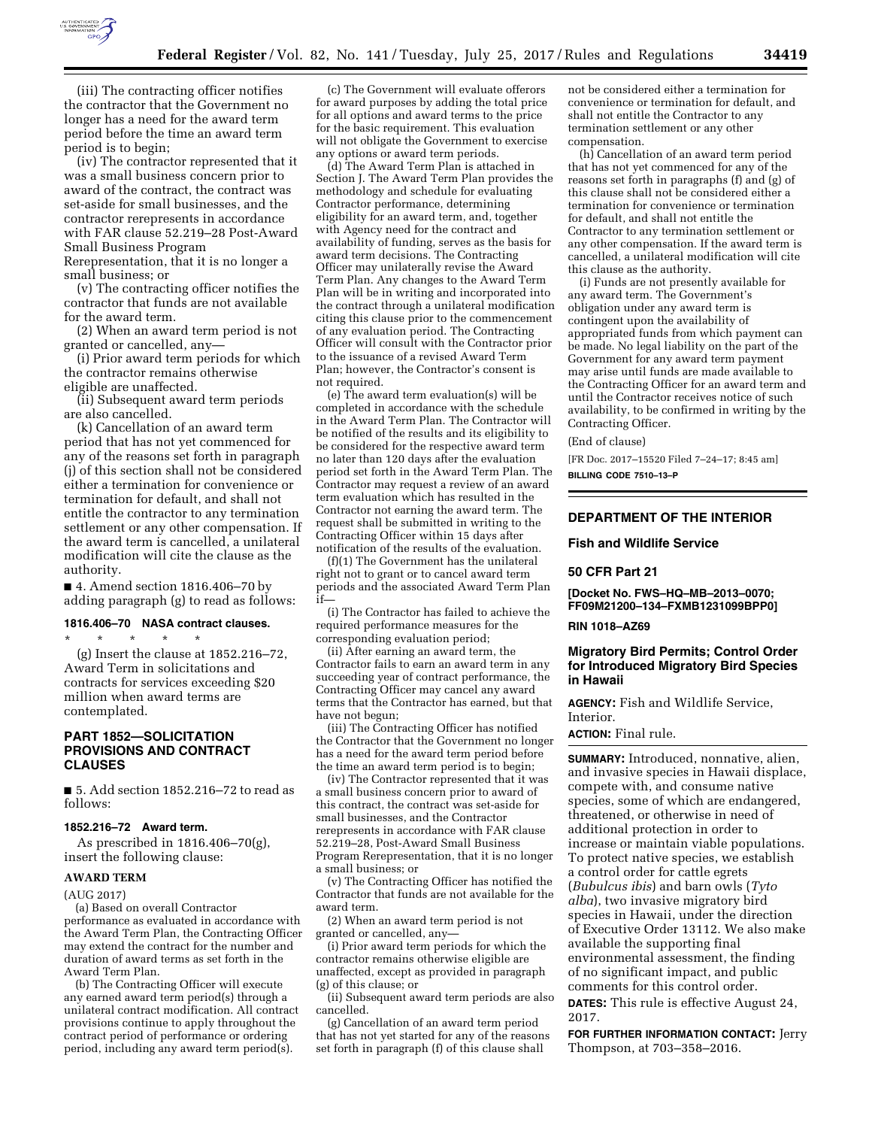

(iii) The contracting officer notifies the contractor that the Government no longer has a need for the award term period before the time an award term period is to begin;

(iv) The contractor represented that it was a small business concern prior to award of the contract, the contract was set-aside for small businesses, and the contractor rerepresents in accordance with FAR clause 52.219–28 Post-Award Small Business Program

Rerepresentation, that it is no longer a small business; or

(v) The contracting officer notifies the contractor that funds are not available for the award term.

(2) When an award term period is not granted or cancelled, any—

(i) Prior award term periods for which the contractor remains otherwise eligible are unaffected.

(ii) Subsequent award term periods are also cancelled.

(k) Cancellation of an award term period that has not yet commenced for any of the reasons set forth in paragraph (j) of this section shall not be considered either a termination for convenience or termination for default, and shall not entitle the contractor to any termination settlement or any other compensation. If the award term is cancelled, a unilateral modification will cite the clause as the authority.

■ 4. Amend section 1816.406–70 by adding paragraph (g) to read as follows:

## **1816.406–70 NASA contract clauses.**

\* \* \* \* \* (g) Insert the clause at 1852.216–72, Award Term in solicitations and contracts for services exceeding \$20 million when award terms are contemplated.

## **PART 1852—SOLICITATION PROVISIONS AND CONTRACT CLAUSES**

■ 5. Add section 1852.216–72 to read as follows:

#### **1852.216–72 Award term.**

As prescribed in 1816.406–70(g), insert the following clause:

## **AWARD TERM**

(AUG 2017)

(a) Based on overall Contractor performance as evaluated in accordance with the Award Term Plan, the Contracting Officer may extend the contract for the number and duration of award terms as set forth in the Award Term Plan.

(b) The Contracting Officer will execute any earned award term period(s) through a unilateral contract modification. All contract provisions continue to apply throughout the contract period of performance or ordering period, including any award term period(s).

(c) The Government will evaluate offerors for award purposes by adding the total price for all options and award terms to the price for the basic requirement. This evaluation will not obligate the Government to exercise any options or award term periods.

(d) The Award Term Plan is attached in Section J. The Award Term Plan provides the methodology and schedule for evaluating Contractor performance, determining eligibility for an award term, and, together with Agency need for the contract and availability of funding, serves as the basis for award term decisions. The Contracting Officer may unilaterally revise the Award Term Plan. Any changes to the Award Term Plan will be in writing and incorporated into the contract through a unilateral modification citing this clause prior to the commencement of any evaluation period. The Contracting Officer will consult with the Contractor prior to the issuance of a revised Award Term Plan; however, the Contractor's consent is not required.

(e) The award term evaluation(s) will be completed in accordance with the schedule in the Award Term Plan. The Contractor will be notified of the results and its eligibility to be considered for the respective award term no later than 120 days after the evaluation period set forth in the Award Term Plan. The Contractor may request a review of an award term evaluation which has resulted in the Contractor not earning the award term. The request shall be submitted in writing to the Contracting Officer within 15 days after notification of the results of the evaluation.

(f)(1) The Government has the unilateral right not to grant or to cancel award term periods and the associated Award Term Plan if—

(i) The Contractor has failed to achieve the required performance measures for the corresponding evaluation period;

(ii) After earning an award term, the Contractor fails to earn an award term in any succeeding year of contract performance, the Contracting Officer may cancel any award terms that the Contractor has earned, but that have not begun;

(iii) The Contracting Officer has notified the Contractor that the Government no longer has a need for the award term period before the time an award term period is to begin;

(iv) The Contractor represented that it was a small business concern prior to award of this contract, the contract was set-aside for small businesses, and the Contractor rerepresents in accordance with FAR clause 52.219–28, Post-Award Small Business Program Rerepresentation, that it is no longer a small business; or

(v) The Contracting Officer has notified the Contractor that funds are not available for the award term.

(2) When an award term period is not granted or cancelled, any—

(i) Prior award term periods for which the contractor remains otherwise eligible are unaffected, except as provided in paragraph (g) of this clause; or

(ii) Subsequent award term periods are also cancelled.

(g) Cancellation of an award term period that has not yet started for any of the reasons set forth in paragraph (f) of this clause shall

not be considered either a termination for convenience or termination for default, and shall not entitle the Contractor to any termination settlement or any other compensation.

(h) Cancellation of an award term period that has not yet commenced for any of the reasons set forth in paragraphs (f) and (g) of this clause shall not be considered either a termination for convenience or termination for default, and shall not entitle the Contractor to any termination settlement or any other compensation. If the award term is cancelled, a unilateral modification will cite this clause as the authority.

(i) Funds are not presently available for any award term. The Government's obligation under any award term is contingent upon the availability of appropriated funds from which payment can be made. No legal liability on the part of the Government for any award term payment may arise until funds are made available to the Contracting Officer for an award term and until the Contractor receives notice of such availability, to be confirmed in writing by the Contracting Officer.

#### (End of clause)

[FR Doc. 2017–15520 Filed 7–24–17; 8:45 am]

**BILLING CODE 7510–13–P** 

# **DEPARTMENT OF THE INTERIOR**

### **Fish and Wildlife Service**

### **50 CFR Part 21**

**[Docket No. FWS–HQ–MB–2013–0070; FF09M21200–134–FXMB1231099BPP0]** 

#### **RIN 1018–AZ69**

# **Migratory Bird Permits; Control Order for Introduced Migratory Bird Species in Hawaii**

**AGENCY:** Fish and Wildlife Service, Interior.

**ACTION:** Final rule.

**SUMMARY:** Introduced, nonnative, alien, and invasive species in Hawaii displace, compete with, and consume native species, some of which are endangered, threatened, or otherwise in need of additional protection in order to increase or maintain viable populations. To protect native species, we establish a control order for cattle egrets (*Bubulcus ibis*) and barn owls (*Tyto alba*), two invasive migratory bird species in Hawaii, under the direction of Executive Order 13112. We also make available the supporting final environmental assessment, the finding of no significant impact, and public comments for this control order.

**DATES:** This rule is effective August 24, 2017.

**FOR FURTHER INFORMATION CONTACT:** Jerry Thompson, at 703–358–2016.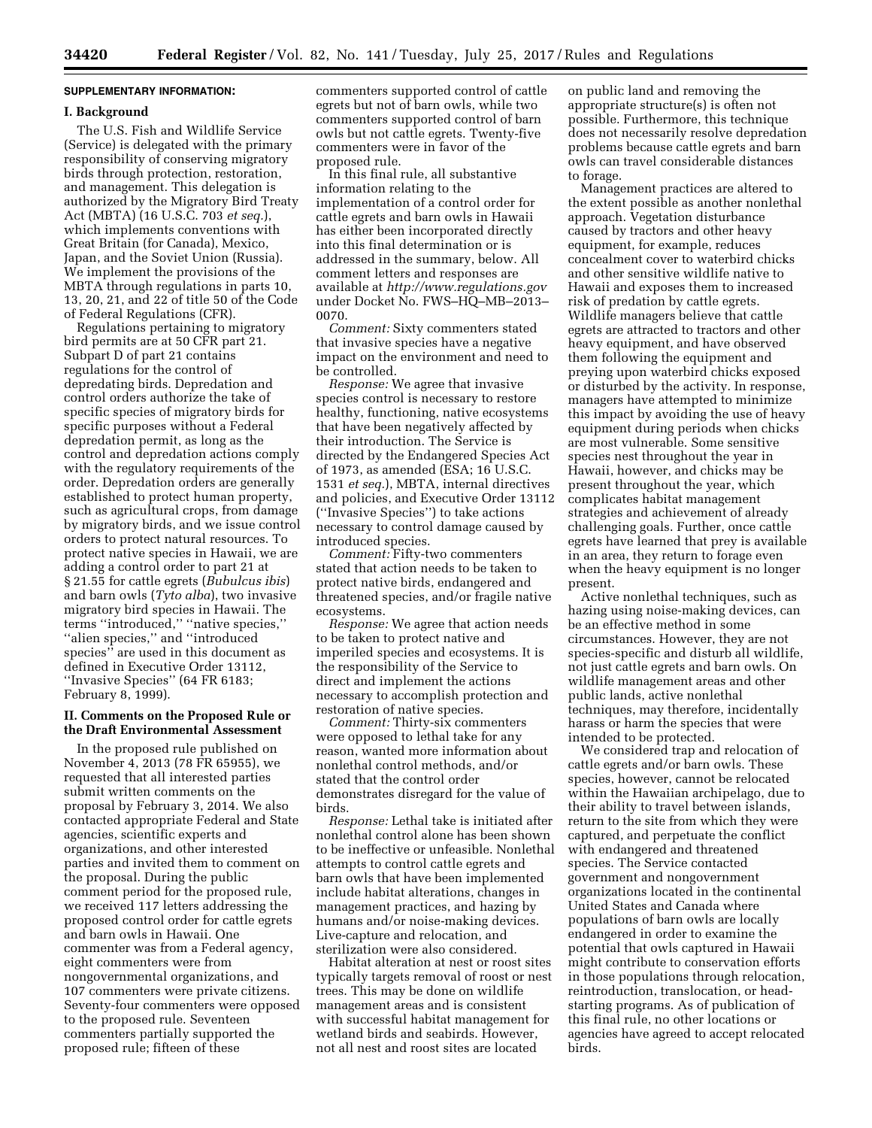# **SUPPLEMENTARY INFORMATION:**

### **I. Background**

The U.S. Fish and Wildlife Service (Service) is delegated with the primary responsibility of conserving migratory birds through protection, restoration, and management. This delegation is authorized by the Migratory Bird Treaty Act (MBTA) (16 U.S.C. 703 *et seq.*), which implements conventions with Great Britain (for Canada), Mexico, Japan, and the Soviet Union (Russia). We implement the provisions of the MBTA through regulations in parts 10, 13, 20, 21, and 22 of title 50 of the Code of Federal Regulations (CFR).

Regulations pertaining to migratory bird permits are at 50 CFR part 21. Subpart D of part 21 contains regulations for the control of depredating birds. Depredation and control orders authorize the take of specific species of migratory birds for specific purposes without a Federal depredation permit, as long as the control and depredation actions comply with the regulatory requirements of the order. Depredation orders are generally established to protect human property, such as agricultural crops, from damage by migratory birds, and we issue control orders to protect natural resources. To protect native species in Hawaii, we are adding a control order to part 21 at § 21.55 for cattle egrets (*Bubulcus ibis*) and barn owls (*Tyto alba*), two invasive migratory bird species in Hawaii. The terms ''introduced,'' ''native species,'' ''alien species,'' and ''introduced species'' are used in this document as defined in Executive Order 13112, ''Invasive Species'' (64 FR 6183; February 8, 1999).

## **II. Comments on the Proposed Rule or the Draft Environmental Assessment**

In the proposed rule published on November 4, 2013 (78 FR 65955), we requested that all interested parties submit written comments on the proposal by February 3, 2014. We also contacted appropriate Federal and State agencies, scientific experts and organizations, and other interested parties and invited them to comment on the proposal. During the public comment period for the proposed rule, we received 117 letters addressing the proposed control order for cattle egrets and barn owls in Hawaii. One commenter was from a Federal agency, eight commenters were from nongovernmental organizations, and 107 commenters were private citizens. Seventy-four commenters were opposed to the proposed rule. Seventeen commenters partially supported the proposed rule; fifteen of these

commenters supported control of cattle egrets but not of barn owls, while two commenters supported control of barn owls but not cattle egrets. Twenty-five commenters were in favor of the proposed rule.

In this final rule, all substantive information relating to the implementation of a control order for cattle egrets and barn owls in Hawaii has either been incorporated directly into this final determination or is addressed in the summary, below. All comment letters and responses are available at *<http://www.regulations.gov>* under Docket No. FWS–HQ–MB–2013– 0070.

*Comment:* Sixty commenters stated that invasive species have a negative impact on the environment and need to be controlled.

*Response:* We agree that invasive species control is necessary to restore healthy, functioning, native ecosystems that have been negatively affected by their introduction. The Service is directed by the Endangered Species Act of 1973, as amended (ESA; 16 U.S.C. 1531 *et seq.*), MBTA, internal directives and policies, and Executive Order 13112 (''Invasive Species'') to take actions necessary to control damage caused by introduced species.

*Comment:* Fifty-two commenters stated that action needs to be taken to protect native birds, endangered and threatened species, and/or fragile native ecosystems.

*Response:* We agree that action needs to be taken to protect native and imperiled species and ecosystems. It is the responsibility of the Service to direct and implement the actions necessary to accomplish protection and restoration of native species.

*Comment:* Thirty-six commenters were opposed to lethal take for any reason, wanted more information about nonlethal control methods, and/or stated that the control order demonstrates disregard for the value of birds.

*Response:* Lethal take is initiated after nonlethal control alone has been shown to be ineffective or unfeasible. Nonlethal attempts to control cattle egrets and barn owls that have been implemented include habitat alterations, changes in management practices, and hazing by humans and/or noise-making devices. Live-capture and relocation, and sterilization were also considered.

Habitat alteration at nest or roost sites typically targets removal of roost or nest trees. This may be done on wildlife management areas and is consistent with successful habitat management for wetland birds and seabirds. However, not all nest and roost sites are located

on public land and removing the appropriate structure(s) is often not possible. Furthermore, this technique does not necessarily resolve depredation problems because cattle egrets and barn owls can travel considerable distances to forage.

Management practices are altered to the extent possible as another nonlethal approach. Vegetation disturbance caused by tractors and other heavy equipment, for example, reduces concealment cover to waterbird chicks and other sensitive wildlife native to Hawaii and exposes them to increased risk of predation by cattle egrets. Wildlife managers believe that cattle egrets are attracted to tractors and other heavy equipment, and have observed them following the equipment and preying upon waterbird chicks exposed or disturbed by the activity. In response, managers have attempted to minimize this impact by avoiding the use of heavy equipment during periods when chicks are most vulnerable. Some sensitive species nest throughout the year in Hawaii, however, and chicks may be present throughout the year, which complicates habitat management strategies and achievement of already challenging goals. Further, once cattle egrets have learned that prey is available in an area, they return to forage even when the heavy equipment is no longer present.

Active nonlethal techniques, such as hazing using noise-making devices, can be an effective method in some circumstances. However, they are not species-specific and disturb all wildlife, not just cattle egrets and barn owls. On wildlife management areas and other public lands, active nonlethal techniques, may therefore, incidentally harass or harm the species that were intended to be protected.

We considered trap and relocation of cattle egrets and/or barn owls. These species, however, cannot be relocated within the Hawaiian archipelago, due to their ability to travel between islands, return to the site from which they were captured, and perpetuate the conflict with endangered and threatened species. The Service contacted government and nongovernment organizations located in the continental United States and Canada where populations of barn owls are locally endangered in order to examine the potential that owls captured in Hawaii might contribute to conservation efforts in those populations through relocation, reintroduction, translocation, or headstarting programs. As of publication of this final rule, no other locations or agencies have agreed to accept relocated birds.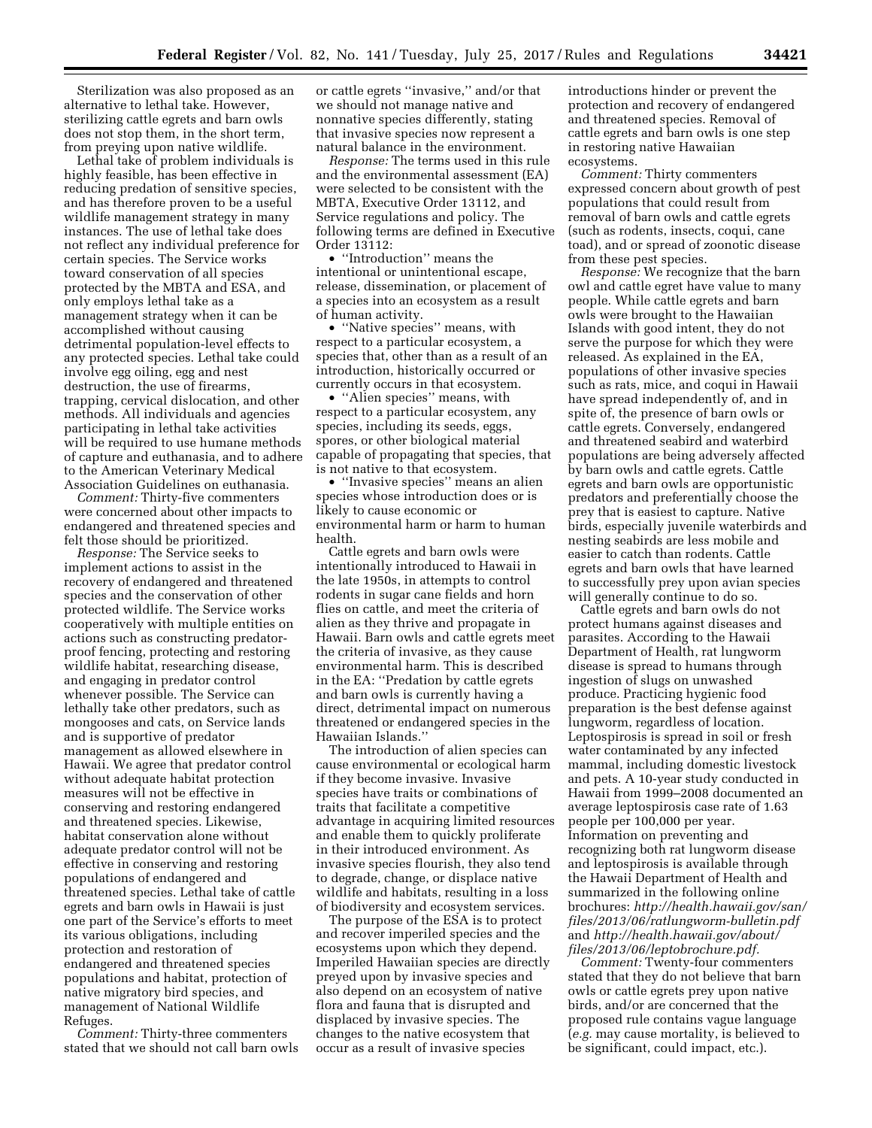Sterilization was also proposed as an alternative to lethal take. However, sterilizing cattle egrets and barn owls does not stop them, in the short term, from preying upon native wildlife.

Lethal take of problem individuals is highly feasible, has been effective in reducing predation of sensitive species, and has therefore proven to be a useful wildlife management strategy in many instances. The use of lethal take does not reflect any individual preference for certain species. The Service works toward conservation of all species protected by the MBTA and ESA, and only employs lethal take as a management strategy when it can be accomplished without causing detrimental population-level effects to any protected species. Lethal take could involve egg oiling, egg and nest destruction, the use of firearms, trapping, cervical dislocation, and other methods. All individuals and agencies participating in lethal take activities will be required to use humane methods of capture and euthanasia, and to adhere to the American Veterinary Medical Association Guidelines on euthanasia.

*Comment:* Thirty-five commenters were concerned about other impacts to endangered and threatened species and felt those should be prioritized.

*Response:* The Service seeks to implement actions to assist in the recovery of endangered and threatened species and the conservation of other protected wildlife. The Service works cooperatively with multiple entities on actions such as constructing predatorproof fencing, protecting and restoring wildlife habitat, researching disease, and engaging in predator control whenever possible. The Service can lethally take other predators, such as mongooses and cats, on Service lands and is supportive of predator management as allowed elsewhere in Hawaii. We agree that predator control without adequate habitat protection measures will not be effective in conserving and restoring endangered and threatened species. Likewise, habitat conservation alone without adequate predator control will not be effective in conserving and restoring populations of endangered and threatened species. Lethal take of cattle egrets and barn owls in Hawaii is just one part of the Service's efforts to meet its various obligations, including protection and restoration of endangered and threatened species populations and habitat, protection of native migratory bird species, and management of National Wildlife Refuges.

*Comment:* Thirty-three commenters stated that we should not call barn owls or cattle egrets ''invasive,'' and/or that we should not manage native and nonnative species differently, stating that invasive species now represent a natural balance in the environment.

*Response:* The terms used in this rule and the environmental assessment (EA) were selected to be consistent with the MBTA, Executive Order 13112, and Service regulations and policy. The following terms are defined in Executive Order 13112:

• ''Introduction'' means the intentional or unintentional escape, release, dissemination, or placement of a species into an ecosystem as a result of human activity.

• ''Native species'' means, with respect to a particular ecosystem, a species that, other than as a result of an introduction, historically occurred or currently occurs in that ecosystem.

• "Alien species" means, with respect to a particular ecosystem, any species, including its seeds, eggs, spores, or other biological material capable of propagating that species, that is not native to that ecosystem.

• ''Invasive species'' means an alien species whose introduction does or is likely to cause economic or environmental harm or harm to human health.

Cattle egrets and barn owls were intentionally introduced to Hawaii in the late 1950s, in attempts to control rodents in sugar cane fields and horn flies on cattle, and meet the criteria of alien as they thrive and propagate in Hawaii. Barn owls and cattle egrets meet the criteria of invasive, as they cause environmental harm. This is described in the EA: ''Predation by cattle egrets and barn owls is currently having a direct, detrimental impact on numerous threatened or endangered species in the Hawaiian Islands.''

The introduction of alien species can cause environmental or ecological harm if they become invasive. Invasive species have traits or combinations of traits that facilitate a competitive advantage in acquiring limited resources and enable them to quickly proliferate in their introduced environment. As invasive species flourish, they also tend to degrade, change, or displace native wildlife and habitats, resulting in a loss of biodiversity and ecosystem services.

The purpose of the ESA is to protect and recover imperiled species and the ecosystems upon which they depend. Imperiled Hawaiian species are directly preyed upon by invasive species and also depend on an ecosystem of native flora and fauna that is disrupted and displaced by invasive species. The changes to the native ecosystem that occur as a result of invasive species

introductions hinder or prevent the protection and recovery of endangered and threatened species. Removal of cattle egrets and barn owls is one step in restoring native Hawaiian ecosystems.

*Comment:* Thirty commenters expressed concern about growth of pest populations that could result from removal of barn owls and cattle egrets (such as rodents, insects, coqui, cane toad), and or spread of zoonotic disease from these pest species.

*Response:* We recognize that the barn owl and cattle egret have value to many people. While cattle egrets and barn owls were brought to the Hawaiian Islands with good intent, they do not serve the purpose for which they were released. As explained in the EA, populations of other invasive species such as rats, mice, and coqui in Hawaii have spread independently of, and in spite of, the presence of barn owls or cattle egrets. Conversely, endangered and threatened seabird and waterbird populations are being adversely affected by barn owls and cattle egrets. Cattle egrets and barn owls are opportunistic predators and preferentially choose the prey that is easiest to capture. Native birds, especially juvenile waterbirds and nesting seabirds are less mobile and easier to catch than rodents. Cattle egrets and barn owls that have learned to successfully prey upon avian species will generally continue to do so.

Cattle egrets and barn owls do not protect humans against diseases and parasites. According to the Hawaii Department of Health, rat lungworm disease is spread to humans through ingestion of slugs on unwashed produce. Practicing hygienic food preparation is the best defense against lungworm, regardless of location. Leptospirosis is spread in soil or fresh water contaminated by any infected mammal, including domestic livestock and pets. A 10-year study conducted in Hawaii from 1999–2008 documented an average leptospirosis case rate of 1.63 people per 100,000 per year. Information on preventing and recognizing both rat lungworm disease and leptospirosis is available through the Hawaii Department of Health and summarized in the following online brochures: *[http://health.hawaii.gov/san/](http://health.hawaii.gov/san/files/2013/06/ratlungworm-bulletin.pdf)  [files/2013/06/ratlungworm-bulletin.pdf](http://health.hawaii.gov/san/files/2013/06/ratlungworm-bulletin.pdf)*  and *[http://health.hawaii.gov/about/](http://health.hawaii.gov/about/files/2013/06/leptobrochure.pdf)  [files/2013/06/leptobrochure.pdf.](http://health.hawaii.gov/about/files/2013/06/leptobrochure.pdf)* 

*Comment:* Twenty-four commenters stated that they do not believe that barn owls or cattle egrets prey upon native birds, and/or are concerned that the proposed rule contains vague language (*e.g.* may cause mortality, is believed to be significant, could impact, etc.).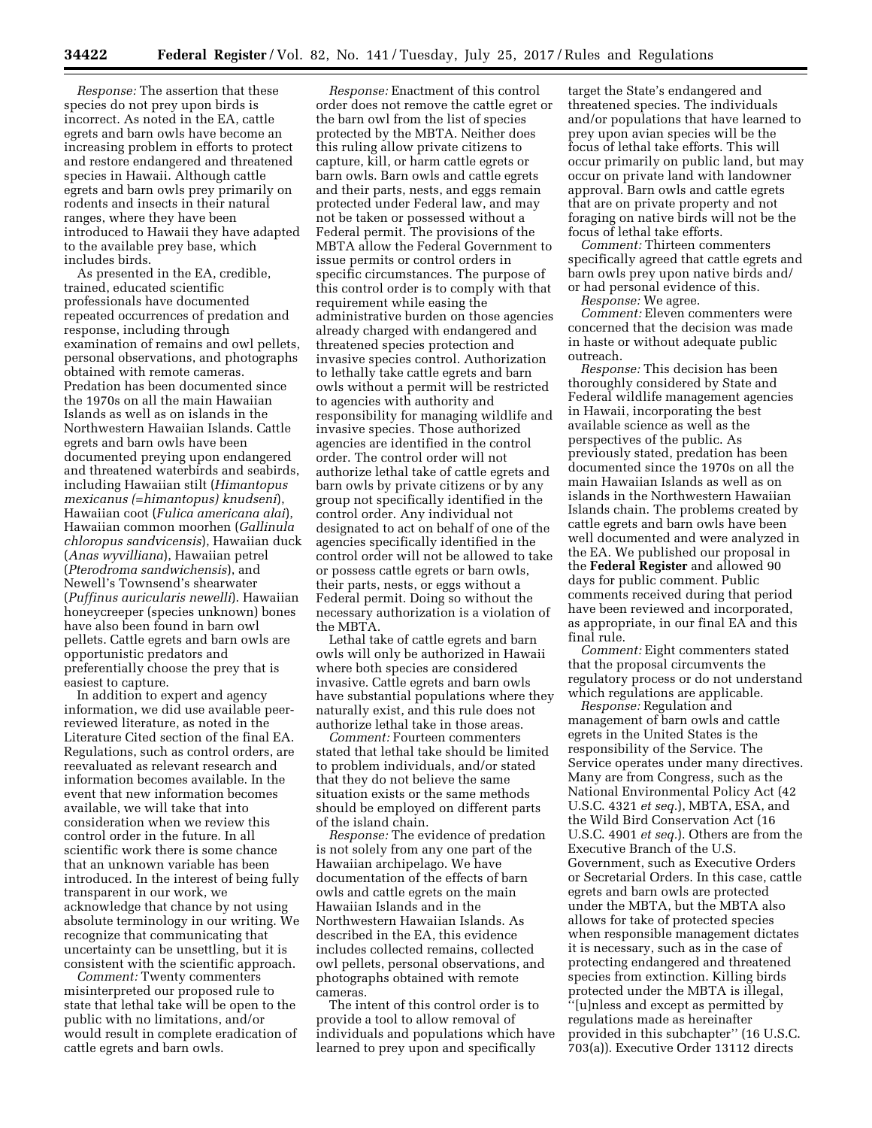*Response:* The assertion that these species do not prey upon birds is incorrect. As noted in the EA, cattle egrets and barn owls have become an increasing problem in efforts to protect and restore endangered and threatened species in Hawaii. Although cattle egrets and barn owls prey primarily on rodents and insects in their natural ranges, where they have been introduced to Hawaii they have adapted to the available prey base, which includes birds.

As presented in the EA, credible, trained, educated scientific professionals have documented repeated occurrences of predation and response, including through examination of remains and owl pellets, personal observations, and photographs obtained with remote cameras. Predation has been documented since the 1970s on all the main Hawaiian Islands as well as on islands in the Northwestern Hawaiian Islands. Cattle egrets and barn owls have been documented preying upon endangered and threatened waterbirds and seabirds, including Hawaiian stilt (*Himantopus mexicanus (=himantopus) knudseni*), Hawaiian coot (*Fulica americana alai*), Hawaiian common moorhen (*Gallinula chloropus sandvicensis*), Hawaiian duck (*Anas wyvilliana*), Hawaiian petrel (*Pterodroma sandwichensis*), and Newell's Townsend's shearwater (*Puffinus auricularis newelli*). Hawaiian honeycreeper (species unknown) bones have also been found in barn owl pellets. Cattle egrets and barn owls are opportunistic predators and preferentially choose the prey that is easiest to capture.

In addition to expert and agency information, we did use available peerreviewed literature, as noted in the Literature Cited section of the final EA. Regulations, such as control orders, are reevaluated as relevant research and information becomes available. In the event that new information becomes available, we will take that into consideration when we review this control order in the future. In all scientific work there is some chance that an unknown variable has been introduced. In the interest of being fully transparent in our work, we acknowledge that chance by not using absolute terminology in our writing. We recognize that communicating that uncertainty can be unsettling, but it is consistent with the scientific approach.

*Comment:* Twenty commenters misinterpreted our proposed rule to state that lethal take will be open to the public with no limitations, and/or would result in complete eradication of cattle egrets and barn owls.

*Response:* Enactment of this control order does not remove the cattle egret or the barn owl from the list of species protected by the MBTA. Neither does this ruling allow private citizens to capture, kill, or harm cattle egrets or barn owls. Barn owls and cattle egrets and their parts, nests, and eggs remain protected under Federal law, and may not be taken or possessed without a Federal permit. The provisions of the MBTA allow the Federal Government to issue permits or control orders in specific circumstances. The purpose of this control order is to comply with that requirement while easing the administrative burden on those agencies already charged with endangered and threatened species protection and invasive species control. Authorization to lethally take cattle egrets and barn owls without a permit will be restricted to agencies with authority and responsibility for managing wildlife and invasive species. Those authorized agencies are identified in the control order. The control order will not authorize lethal take of cattle egrets and barn owls by private citizens or by any group not specifically identified in the control order. Any individual not designated to act on behalf of one of the agencies specifically identified in the control order will not be allowed to take or possess cattle egrets or barn owls, their parts, nests, or eggs without a Federal permit. Doing so without the necessary authorization is a violation of the MBTA.

Lethal take of cattle egrets and barn owls will only be authorized in Hawaii where both species are considered invasive. Cattle egrets and barn owls have substantial populations where they naturally exist, and this rule does not authorize lethal take in those areas.

*Comment:* Fourteen commenters stated that lethal take should be limited to problem individuals, and/or stated that they do not believe the same situation exists or the same methods should be employed on different parts of the island chain.

*Response:* The evidence of predation is not solely from any one part of the Hawaiian archipelago. We have documentation of the effects of barn owls and cattle egrets on the main Hawaiian Islands and in the Northwestern Hawaiian Islands. As described in the EA, this evidence includes collected remains, collected owl pellets, personal observations, and photographs obtained with remote cameras.

The intent of this control order is to provide a tool to allow removal of individuals and populations which have learned to prey upon and specifically

target the State's endangered and threatened species. The individuals and/or populations that have learned to prey upon avian species will be the focus of lethal take efforts. This will occur primarily on public land, but may occur on private land with landowner approval. Barn owls and cattle egrets that are on private property and not foraging on native birds will not be the focus of lethal take efforts.

*Comment:* Thirteen commenters specifically agreed that cattle egrets and barn owls prey upon native birds and/ or had personal evidence of this.

*Response:* We agree.

*Comment:* Eleven commenters were concerned that the decision was made in haste or without adequate public outreach.

*Response:* This decision has been thoroughly considered by State and Federal wildlife management agencies in Hawaii, incorporating the best available science as well as the perspectives of the public. As previously stated, predation has been documented since the 1970s on all the main Hawaiian Islands as well as on islands in the Northwestern Hawaiian Islands chain. The problems created by cattle egrets and barn owls have been well documented and were analyzed in the EA. We published our proposal in the **Federal Register** and allowed 90 days for public comment. Public comments received during that period have been reviewed and incorporated, as appropriate, in our final EA and this final rule.

*Comment:* Eight commenters stated that the proposal circumvents the regulatory process or do not understand which regulations are applicable.

*Response:* Regulation and management of barn owls and cattle egrets in the United States is the responsibility of the Service. The Service operates under many directives. Many are from Congress, such as the National Environmental Policy Act (42 U.S.C. 4321 *et seq.*), MBTA, ESA, and the Wild Bird Conservation Act (16 U.S.C. 4901 *et seq.*). Others are from the Executive Branch of the U.S. Government, such as Executive Orders or Secretarial Orders. In this case, cattle egrets and barn owls are protected under the MBTA, but the MBTA also allows for take of protected species when responsible management dictates it is necessary, such as in the case of protecting endangered and threatened species from extinction. Killing birds protected under the MBTA is illegal, ''[u]nless and except as permitted by regulations made as hereinafter provided in this subchapter'' (16 U.S.C. 703(a)). Executive Order 13112 directs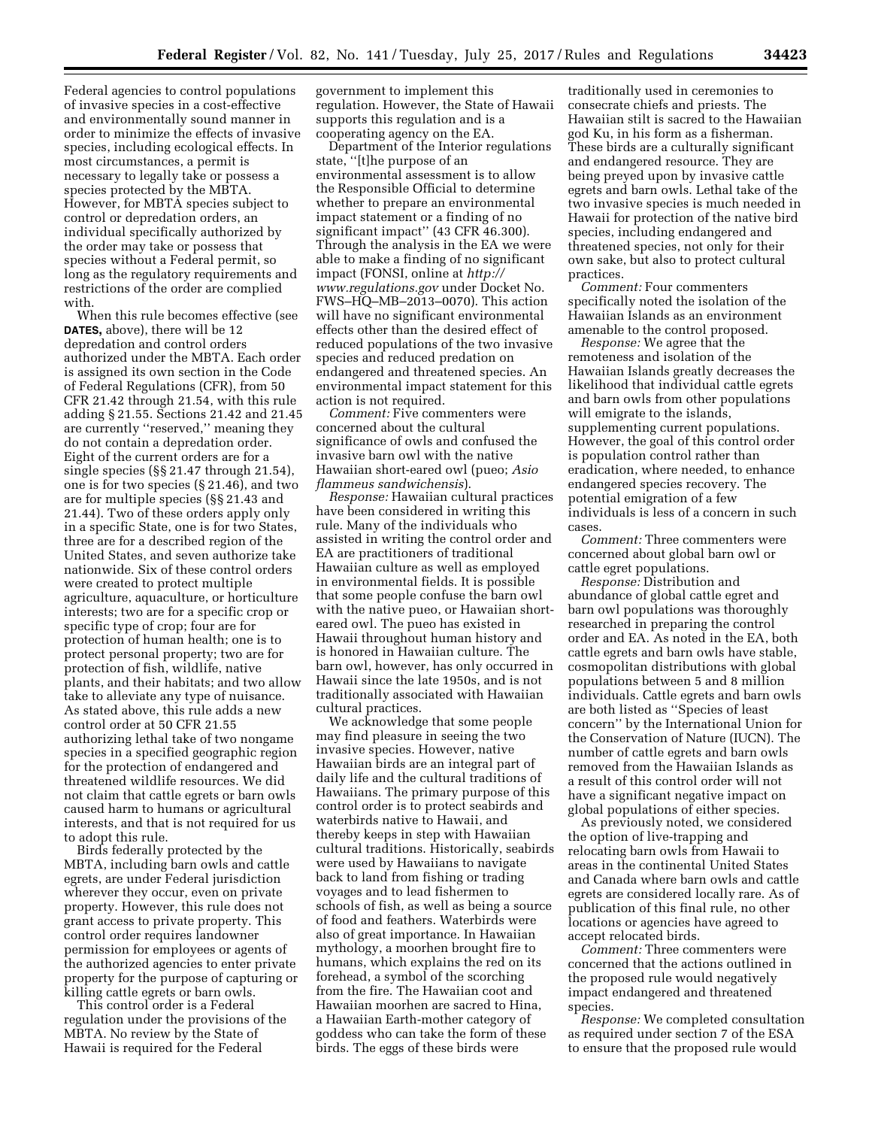Federal agencies to control populations of invasive species in a cost-effective and environmentally sound manner in order to minimize the effects of invasive species, including ecological effects. In most circumstances, a permit is necessary to legally take or possess a species protected by the MBTA. However, for MBTA species subject to control or depredation orders, an individual specifically authorized by the order may take or possess that species without a Federal permit, so long as the regulatory requirements and restrictions of the order are complied with.

When this rule becomes effective (see **DATES,** above), there will be 12 depredation and control orders authorized under the MBTA. Each order is assigned its own section in the Code of Federal Regulations (CFR), from 50 CFR 21.42 through 21.54, with this rule adding § 21.55. Sections 21.42 and 21.45 are currently ''reserved,'' meaning they do not contain a depredation order. Eight of the current orders are for a single species (§§ 21.47 through 21.54), one is for two species (§ 21.46), and two are for multiple species (§§ 21.43 and 21.44). Two of these orders apply only in a specific State, one is for two States, three are for a described region of the United States, and seven authorize take nationwide. Six of these control orders were created to protect multiple agriculture, aquaculture, or horticulture interests; two are for a specific crop or specific type of crop; four are for protection of human health; one is to protect personal property; two are for protection of fish, wildlife, native plants, and their habitats; and two allow take to alleviate any type of nuisance. As stated above, this rule adds a new control order at 50 CFR 21.55 authorizing lethal take of two nongame species in a specified geographic region for the protection of endangered and threatened wildlife resources. We did not claim that cattle egrets or barn owls caused harm to humans or agricultural interests, and that is not required for us to adopt this rule.

Birds federally protected by the MBTA, including barn owls and cattle egrets, are under Federal jurisdiction wherever they occur, even on private property. However, this rule does not grant access to private property. This control order requires landowner permission for employees or agents of the authorized agencies to enter private property for the purpose of capturing or killing cattle egrets or barn owls.

This control order is a Federal regulation under the provisions of the MBTA. No review by the State of Hawaii is required for the Federal

government to implement this regulation. However, the State of Hawaii supports this regulation and is a cooperating agency on the EA.

Department of the Interior regulations state, ''[t]he purpose of an environmental assessment is to allow the Responsible Official to determine whether to prepare an environmental impact statement or a finding of no significant impact" (43 CFR 46.300). Through the analysis in the EA we were able to make a finding of no significant impact (FONSI, online at *[http://](http://www.regulations.gov) [www.regulations.gov](http://www.regulations.gov)* under Docket No. FWS–HQ–MB–2013–0070). This action will have no significant environmental effects other than the desired effect of reduced populations of the two invasive species and reduced predation on endangered and threatened species. An environmental impact statement for this action is not required.

*Comment:* Five commenters were concerned about the cultural significance of owls and confused the invasive barn owl with the native Hawaiian short-eared owl (pueo; *Asio flammeus sandwichensis*).

*Response:* Hawaiian cultural practices have been considered in writing this rule. Many of the individuals who assisted in writing the control order and EA are practitioners of traditional Hawaiian culture as well as employed in environmental fields. It is possible that some people confuse the barn owl with the native pueo, or Hawaiian shorteared owl. The pueo has existed in Hawaii throughout human history and is honored in Hawaiian culture. The barn owl, however, has only occurred in Hawaii since the late 1950s, and is not traditionally associated with Hawaiian cultural practices.

We acknowledge that some people may find pleasure in seeing the two invasive species. However, native Hawaiian birds are an integral part of daily life and the cultural traditions of Hawaiians. The primary purpose of this control order is to protect seabirds and waterbirds native to Hawaii, and thereby keeps in step with Hawaiian cultural traditions. Historically, seabirds were used by Hawaiians to navigate back to land from fishing or trading voyages and to lead fishermen to schools of fish, as well as being a source of food and feathers. Waterbirds were also of great importance. In Hawaiian mythology, a moorhen brought fire to humans, which explains the red on its forehead, a symbol of the scorching from the fire. The Hawaiian coot and Hawaiian moorhen are sacred to Hina, a Hawaiian Earth-mother category of goddess who can take the form of these birds. The eggs of these birds were

traditionally used in ceremonies to consecrate chiefs and priests. The Hawaiian stilt is sacred to the Hawaiian god Ku, in his form as a fisherman. These birds are a culturally significant and endangered resource. They are being preyed upon by invasive cattle egrets and barn owls. Lethal take of the two invasive species is much needed in Hawaii for protection of the native bird species, including endangered and threatened species, not only for their own sake, but also to protect cultural practices.

*Comment:* Four commenters specifically noted the isolation of the Hawaiian Islands as an environment amenable to the control proposed.

*Response:* We agree that the remoteness and isolation of the Hawaiian Islands greatly decreases the likelihood that individual cattle egrets and barn owls from other populations will emigrate to the islands, supplementing current populations. However, the goal of this control order is population control rather than eradication, where needed, to enhance endangered species recovery. The potential emigration of a few individuals is less of a concern in such cases.

*Comment:* Three commenters were concerned about global barn owl or cattle egret populations.

*Response:* Distribution and abundance of global cattle egret and barn owl populations was thoroughly researched in preparing the control order and EA. As noted in the EA, both cattle egrets and barn owls have stable, cosmopolitan distributions with global populations between 5 and 8 million individuals. Cattle egrets and barn owls are both listed as ''Species of least concern'' by the International Union for the Conservation of Nature (IUCN). The number of cattle egrets and barn owls removed from the Hawaiian Islands as a result of this control order will not have a significant negative impact on global populations of either species.

As previously noted, we considered the option of live-trapping and relocating barn owls from Hawaii to areas in the continental United States and Canada where barn owls and cattle egrets are considered locally rare. As of publication of this final rule, no other locations or agencies have agreed to accept relocated birds.

*Comment:* Three commenters were concerned that the actions outlined in the proposed rule would negatively impact endangered and threatened species.

*Response:* We completed consultation as required under section 7 of the ESA to ensure that the proposed rule would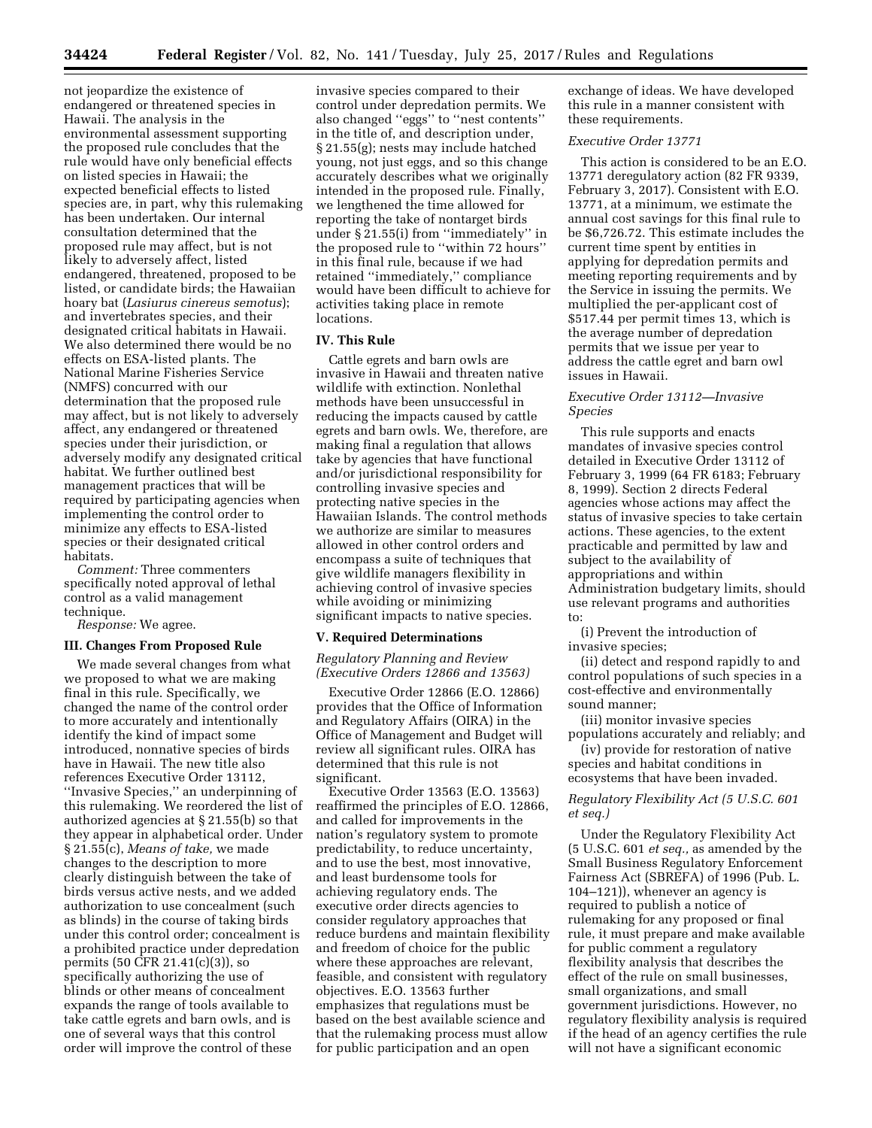not jeopardize the existence of endangered or threatened species in Hawaii. The analysis in the environmental assessment supporting the proposed rule concludes that the rule would have only beneficial effects on listed species in Hawaii; the expected beneficial effects to listed species are, in part, why this rulemaking has been undertaken. Our internal consultation determined that the proposed rule may affect, but is not likely to adversely affect, listed endangered, threatened, proposed to be listed, or candidate birds; the Hawaiian hoary bat (*Lasiurus cinereus semotus*); and invertebrates species, and their designated critical habitats in Hawaii. We also determined there would be no effects on ESA-listed plants. The National Marine Fisheries Service (NMFS) concurred with our determination that the proposed rule may affect, but is not likely to adversely affect, any endangered or threatened species under their jurisdiction, or adversely modify any designated critical habitat. We further outlined best management practices that will be required by participating agencies when implementing the control order to minimize any effects to ESA-listed species or their designated critical habitats.

*Comment:* Three commenters specifically noted approval of lethal control as a valid management technique.

*Response:* We agree.

#### **III. Changes From Proposed Rule**

We made several changes from what we proposed to what we are making final in this rule. Specifically, we changed the name of the control order to more accurately and intentionally identify the kind of impact some introduced, nonnative species of birds have in Hawaii. The new title also references Executive Order 13112, ''Invasive Species,'' an underpinning of this rulemaking. We reordered the list of authorized agencies at § 21.55(b) so that they appear in alphabetical order. Under § 21.55(c), *Means of take,* we made changes to the description to more clearly distinguish between the take of birds versus active nests, and we added authorization to use concealment (such as blinds) in the course of taking birds under this control order; concealment is a prohibited practice under depredation permits (50 CFR 21.41(c)(3)), so specifically authorizing the use of blinds or other means of concealment expands the range of tools available to take cattle egrets and barn owls, and is one of several ways that this control order will improve the control of these

invasive species compared to their control under depredation permits. We also changed ''eggs'' to ''nest contents'' in the title of, and description under, § 21.55(g); nests may include hatched young, not just eggs, and so this change accurately describes what we originally intended in the proposed rule. Finally, we lengthened the time allowed for reporting the take of nontarget birds under § 21.55(i) from ''immediately'' in the proposed rule to ''within 72 hours'' in this final rule, because if we had retained ''immediately,'' compliance would have been difficult to achieve for activities taking place in remote locations.

#### **IV. This Rule**

Cattle egrets and barn owls are invasive in Hawaii and threaten native wildlife with extinction. Nonlethal methods have been unsuccessful in reducing the impacts caused by cattle egrets and barn owls. We, therefore, are making final a regulation that allows take by agencies that have functional and/or jurisdictional responsibility for controlling invasive species and protecting native species in the Hawaiian Islands. The control methods we authorize are similar to measures allowed in other control orders and encompass a suite of techniques that give wildlife managers flexibility in achieving control of invasive species while avoiding or minimizing significant impacts to native species.

#### **V. Required Determinations**

*Regulatory Planning and Review (Executive Orders 12866 and 13563)* 

Executive Order 12866 (E.O. 12866) provides that the Office of Information and Regulatory Affairs (OIRA) in the Office of Management and Budget will review all significant rules. OIRA has determined that this rule is not significant.

Executive Order 13563 (E.O. 13563) reaffirmed the principles of E.O. 12866, and called for improvements in the nation's regulatory system to promote predictability, to reduce uncertainty, and to use the best, most innovative, and least burdensome tools for achieving regulatory ends. The executive order directs agencies to consider regulatory approaches that reduce burdens and maintain flexibility and freedom of choice for the public where these approaches are relevant, feasible, and consistent with regulatory objectives. E.O. 13563 further emphasizes that regulations must be based on the best available science and that the rulemaking process must allow for public participation and an open

exchange of ideas. We have developed this rule in a manner consistent with these requirements.

## *Executive Order 13771*

This action is considered to be an E.O. 13771 deregulatory action (82 FR 9339, February 3, 2017). Consistent with E.O. 13771, at a minimum, we estimate the annual cost savings for this final rule to be \$6,726.72. This estimate includes the current time spent by entities in applying for depredation permits and meeting reporting requirements and by the Service in issuing the permits. We multiplied the per-applicant cost of \$517.44 per permit times 13, which is the average number of depredation permits that we issue per year to address the cattle egret and barn owl issues in Hawaii.

### *Executive Order 13112—Invasive Species*

This rule supports and enacts mandates of invasive species control detailed in Executive Order 13112 of February 3, 1999 (64 FR 6183; February 8, 1999). Section 2 directs Federal agencies whose actions may affect the status of invasive species to take certain actions. These agencies, to the extent practicable and permitted by law and subject to the availability of appropriations and within Administration budgetary limits, should use relevant programs and authorities to:

(i) Prevent the introduction of invasive species;

(ii) detect and respond rapidly to and control populations of such species in a cost-effective and environmentally sound manner;

(iii) monitor invasive species populations accurately and reliably; and

(iv) provide for restoration of native species and habitat conditions in ecosystems that have been invaded.

## *Regulatory Flexibility Act (5 U.S.C. 601 et seq.)*

Under the Regulatory Flexibility Act (5 U.S.C. 601 *et seq.,* as amended by the Small Business Regulatory Enforcement Fairness Act (SBREFA) of 1996 (Pub. L. 104–121)), whenever an agency is required to publish a notice of rulemaking for any proposed or final rule, it must prepare and make available for public comment a regulatory flexibility analysis that describes the effect of the rule on small businesses, small organizations, and small government jurisdictions. However, no regulatory flexibility analysis is required if the head of an agency certifies the rule will not have a significant economic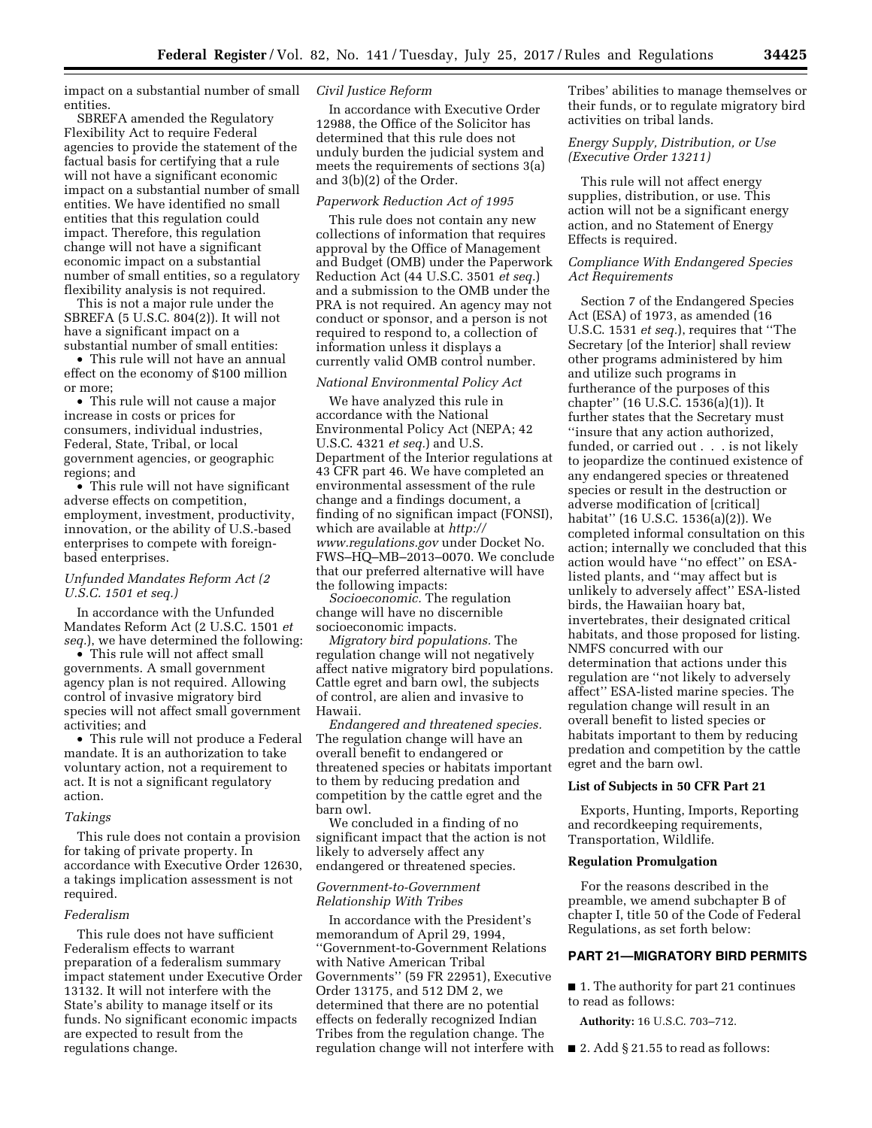impact on a substantial number of small entities.

SBREFA amended the Regulatory Flexibility Act to require Federal agencies to provide the statement of the factual basis for certifying that a rule will not have a significant economic impact on a substantial number of small entities. We have identified no small entities that this regulation could impact. Therefore, this regulation change will not have a significant economic impact on a substantial number of small entities, so a regulatory flexibility analysis is not required.

This is not a major rule under the SBREFA (5 U.S.C. 804(2)). It will not have a significant impact on a substantial number of small entities:

• This rule will not have an annual effect on the economy of \$100 million or more;

• This rule will not cause a major increase in costs or prices for consumers, individual industries, Federal, State, Tribal, or local government agencies, or geographic regions; and

• This rule will not have significant adverse effects on competition, employment, investment, productivity, innovation, or the ability of U.S.-based enterprises to compete with foreignbased enterprises.

## *Unfunded Mandates Reform Act (2 U.S.C. 1501 et seq.)*

In accordance with the Unfunded Mandates Reform Act (2 U.S.C. 1501 *et seq.*), we have determined the following:

• This rule will not affect small governments. A small government agency plan is not required. Allowing control of invasive migratory bird species will not affect small government activities; and

• This rule will not produce a Federal mandate. It is an authorization to take voluntary action, not a requirement to act. It is not a significant regulatory action.

#### *Takings*

This rule does not contain a provision for taking of private property. In accordance with Executive Order 12630, a takings implication assessment is not required.

## *Federalism*

This rule does not have sufficient Federalism effects to warrant preparation of a federalism summary impact statement under Executive Order 13132. It will not interfere with the State's ability to manage itself or its funds. No significant economic impacts are expected to result from the regulations change.

## *Civil Justice Reform*

In accordance with Executive Order 12988, the Office of the Solicitor has determined that this rule does not unduly burden the judicial system and meets the requirements of sections 3(a) and 3(b)(2) of the Order.

## *Paperwork Reduction Act of 1995*

This rule does not contain any new collections of information that requires approval by the Office of Management and Budget (OMB) under the Paperwork Reduction Act (44 U.S.C. 3501 *et seq.*) and a submission to the OMB under the PRA is not required. An agency may not conduct or sponsor, and a person is not required to respond to, a collection of information unless it displays a currently valid OMB control number.

### *National Environmental Policy Act*

We have analyzed this rule in accordance with the National Environmental Policy Act (NEPA; 42 U.S.C. 4321 *et seq.*) and U.S. Department of the Interior regulations at 43 CFR part 46. We have completed an environmental assessment of the rule change and a findings document, a finding of no significan impact (FONSI), which are available at *[http://](http://www.regulations.gov) [www.regulations.gov](http://www.regulations.gov)* under Docket No. FWS–HQ–MB–2013–0070. We conclude that our preferred alternative will have the following impacts:

*Socioeconomic.* The regulation change will have no discernible socioeconomic impacts.

*Migratory bird populations.* The regulation change will not negatively affect native migratory bird populations. Cattle egret and barn owl, the subjects of control, are alien and invasive to Hawaii.

*Endangered and threatened species.*  The regulation change will have an overall benefit to endangered or threatened species or habitats important to them by reducing predation and competition by the cattle egret and the barn owl.

We concluded in a finding of no significant impact that the action is not likely to adversely affect any endangered or threatened species.

## *Government-to-Government Relationship With Tribes*

In accordance with the President's memorandum of April 29, 1994, ''Government-to-Government Relations with Native American Tribal Governments'' (59 FR 22951), Executive Order 13175, and 512 DM 2, we determined that there are no potential effects on federally recognized Indian Tribes from the regulation change. The regulation change will not interfere with Tribes' abilities to manage themselves or their funds, or to regulate migratory bird activities on tribal lands.

## *Energy Supply, Distribution, or Use (Executive Order 13211)*

This rule will not affect energy supplies, distribution, or use. This action will not be a significant energy action, and no Statement of Energy Effects is required.

### *Compliance With Endangered Species Act Requirements*

Section 7 of the Endangered Species Act (ESA) of 1973, as amended (16 U.S.C. 1531 *et seq.*), requires that ''The Secretary [of the Interior] shall review other programs administered by him and utilize such programs in furtherance of the purposes of this chapter'' (16 U.S.C. 1536(a)(1)). It further states that the Secretary must ''insure that any action authorized, funded, or carried out . . . is not likely to jeopardize the continued existence of any endangered species or threatened species or result in the destruction or adverse modification of [critical] habitat'' (16 U.S.C. 1536(a)(2)). We completed informal consultation on this action; internally we concluded that this action would have ''no effect'' on ESAlisted plants, and ''may affect but is unlikely to adversely affect'' ESA-listed birds, the Hawaiian hoary bat, invertebrates, their designated critical habitats, and those proposed for listing. NMFS concurred with our determination that actions under this regulation are ''not likely to adversely affect'' ESA-listed marine species. The regulation change will result in an overall benefit to listed species or habitats important to them by reducing predation and competition by the cattle egret and the barn owl.

### **List of Subjects in 50 CFR Part 21**

Exports, Hunting, Imports, Reporting and recordkeeping requirements, Transportation, Wildlife.

## **Regulation Promulgation**

For the reasons described in the preamble, we amend subchapter B of chapter I, title 50 of the Code of Federal Regulations, as set forth below:

## **PART 21—MIGRATORY BIRD PERMITS**

■ 1. The authority for part 21 continues to read as follows:

**Authority:** 16 U.S.C. 703–712.

■ 2. Add § 21.55 to read as follows: